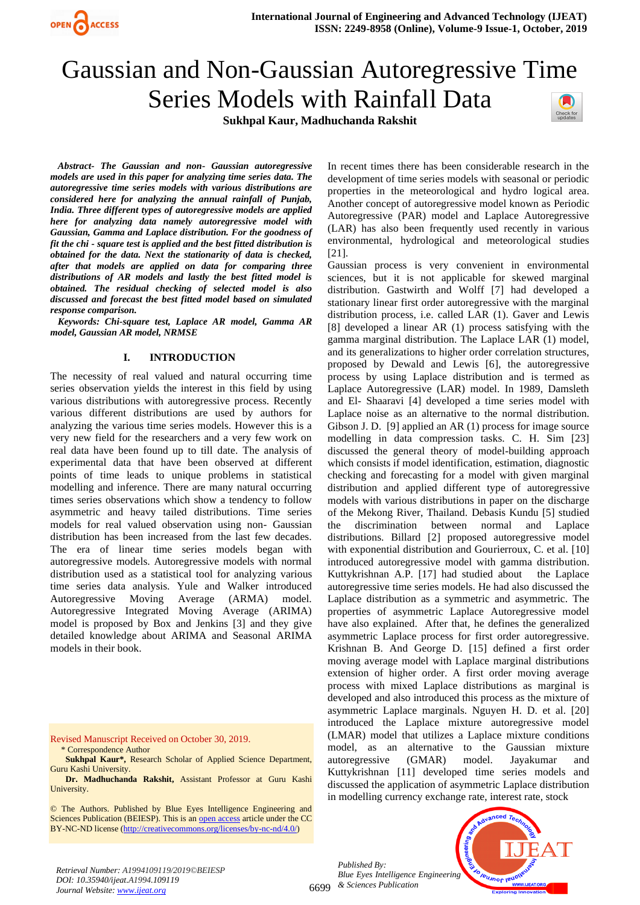

# Gaussian and Non-Gaussian Autoregressive Time Series Models with Rainfall Data

**Sukhpal Kaur, Madhuchanda Rakshit**



*Abstract- The Gaussian and non- Gaussian autoregressive models are used in this paper for analyzing time series data. The autoregressive time series models with various distributions are considered here for analyzing the annual rainfall of Punjab, India. Three different types of autoregressive models are applied here for analyzing data namely autoregressive model with Gaussian, Gamma and Laplace distribution. For the goodness of fit the chi - square test is applied and the best fitted distribution is obtained for the data. Next the stationarity of data is checked, after that models are applied on data for comparing three distributions of AR models and lastly the best fitted model is obtained. The residual checking of selected model is also discussed and forecast the best fitted model based on simulated response comparison.*

*Keywords: Chi-square test, Laplace AR model, Gamma AR model, Gaussian AR model, NRMSE*

# **I. INTRODUCTION**

The necessity of real valued and natural occurring time series observation yields the interest in this field by using various distributions with autoregressive process. Recently various different distributions are used by authors for analyzing the various time series models. However this is a very new field for the researchers and a very few work on real data have been found up to till date. The analysis of experimental data that have been observed at different points of time leads to unique problems in statistical modelling and inference. There are many natural occurring times series observations which show a tendency to follow asymmetric and heavy tailed distributions. Time series models for real valued observation using non- Gaussian distribution has been increased from the last few decades. The era of linear time series models began with autoregressive models. Autoregressive models with normal distribution used as a statistical tool for analyzing various time series data analysis. Yule and Walker introduced Autoregressive Moving Average (ARMA) model. Autoregressive Integrated Moving Average (ARIMA) model is proposed by Box and Jenkins [3] and they give detailed knowledge about ARIMA and Seasonal ARIMA models in their book.

Revised Manuscript Received on October 30, 2019. \* Correspondence Author

**Sukhpal Kaur\*, Research Scholar of Applied Science Department,** Guru Kashi University.

 **Dr. Madhuchanda Rakshit,** Assistant Professor at Guru Kashi University.

© The Authors. Published by Blue Eyes Intelligence Engineering and Sciences Publication (BEIESP). This is an [open access](https://www.openaccess.nl/en/open-publications) article under the CC BY-NC-ND license [\(http://creativecommons.org/licenses/by-nc-nd/4.0/\)](http://creativecommons.org/licenses/by-nc-nd/4.0/)

In recent times there has been considerable research in the development of time series models with seasonal or periodic properties in the meteorological and hydro logical area. Another concept of autoregressive model known as Periodic Autoregressive (PAR) model and Laplace Autoregressive (LAR) has also been frequently used recently in various environmental, hydrological and meteorological studies [21].

Gaussian process is very convenient in environmental sciences, but it is not applicable for skewed marginal distribution. Gastwirth and Wolff [7] had developed a stationary linear first order autoregressive with the marginal distribution process, i.e. called LAR (1). Gaver and Lewis [8] developed a linear AR (1) process satisfying with the gamma marginal distribution. The Laplace LAR (1) model, and its generalizations to higher order correlation structures, proposed by Dewald and Lewis [6], the autoregressive process by using Laplace distribution and is termed as Laplace Autoregressive (LAR) model. In 1989, Damsleth and El- Shaaravi [4] developed a time series model with Laplace noise as an alternative to the normal distribution. Gibson J. D. [9] applied an AR (1) process for image source modelling in data compression tasks. C. H. Sim [23] discussed the general theory of model-building approach which consists if model identification, estimation, diagnostic checking and forecasting for a model with given marginal distribution and applied different type of autoregressive models with various distributions in paper on the discharge of the Mekong River, Thailand. Debasis Kundu [5] studied the discrimination between normal and Laplace distributions. Billard [2] proposed autoregressive model with exponential distribution and Gourierroux, C. et al. [10] introduced autoregressive model with gamma distribution. Kuttykrishnan A.P. [17] had studied about the Laplace autoregressive time series models. He had also discussed the Laplace distribution as a symmetric and asymmetric. The properties of asymmetric Laplace Autoregressive model have also explained. After that, he defines the generalized asymmetric Laplace process for first order autoregressive. Krishnan B. And George D. [15] defined a first order moving average model with Laplace marginal distributions extension of higher order. A first order moving average process with mixed Laplace distributions as marginal is developed and also introduced this process as the mixture of asymmetric Laplace marginals. Nguyen H. D. et al. [20] introduced the Laplace mixture autoregressive model (LMAR) model that utilizes a Laplace mixture conditions model, as an alternative to the Gaussian mixture autoregressive (GMAR) model. Jayakumar and Kuttykrishnan [11] developed time series models and discussed the application of asymmetric Laplace distribution in modelling currency exchange rate, interest rate, stock

6699 *& Sciences Publication Published By: Blue Eyes Intelligence Engineering* 

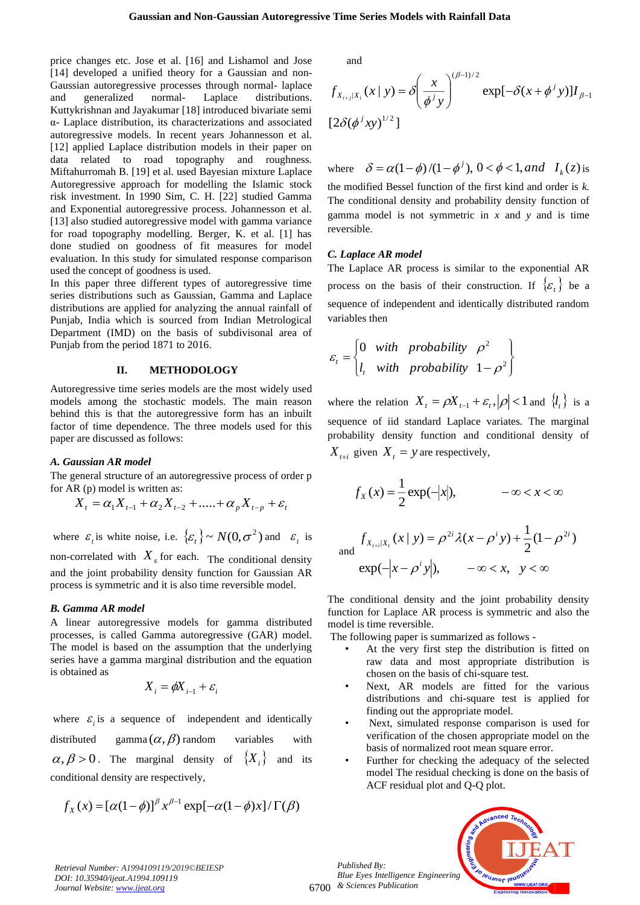price changes etc. Jose et al. [16] and Lishamol and Jose [14] developed a unified theory for a Gaussian and non-Gaussian autoregressive processes through normal- laplace and generalized normal- Laplace distributions. Kuttykrishnan and Jayakumar [18] introduced bivariate semi α- Laplace distribution, its characterizations and associated autoregressive models. In recent years Johannesson et al. [12] applied Laplace distribution models in their paper on data related to road topography and roughness. Miftahurromah B. [19] et al. used Bayesian mixture Laplace Autoregressive approach for modelling the Islamic stock risk investment. In 1990 Sim, C. H. [22] studied Gamma and Exponential autoregressive process. Johannesson et al. [13] also studied autoregressive model with gamma variance for road topography modelling. Berger, K. et al. [1] has done studied on goodness of fit measures for model evaluation. In this study for simulated response comparison used the concept of goodness is used.

In this paper three different types of autoregressive time series distributions such as Gaussian, Gamma and Laplace distributions are applied for analyzing the annual rainfall of Punjab, India which is sourced from Indian Metrological Department (IMD) on the basis of subdivisonal area of Punjab from the period 1871 to 2016.

#### **II. METHODOLOGY**

Autoregressive time series models are the most widely used models among the stochastic models. The main reason behind this is that the autoregressive form has an inbuilt factor of time dependence. The three models used for this paper are discussed as follows:

#### *A. Gaussian AR model*

The general structure of an autoregressive process of order p for AR (p) model is written as:

$$
X_{t} = \alpha_{1} X_{t-1} + \alpha_{2} X_{t-2} + \dots + \alpha_{p} X_{t-p} + \varepsilon_{t}
$$

where  $\varepsilon_t$  is white noise, i.e.  $\{\varepsilon_t\} \sim N(0, \sigma^2)$  and  $\varepsilon_t$  is non-correlated with  $X<sub>s</sub>$  for each. The conditional density and the joint probability density function for Gaussian AR

process is symmetric and it is also time reversible model.

# *B. Gamma AR model*

A linear autoregressive models for gamma distributed processes, is called Gamma autoregressive (GAR) model. The model is based on the assumption that the underlying series have a gamma marginal distribution and the equation is obtained as

$$
X_i = \phi X_{i-1} + \varepsilon_i
$$

where  $\varepsilon_i$  is a sequence of independent and identically distributed gamma $(\alpha,\beta)$  random variables with  $\alpha, \beta > 0$ . The marginal density of  $\{X_i\}$  and its conditional density are respectively,

$$
f_X(x) = [\alpha(1-\phi)]^{\beta} x^{\beta-1} \exp[-\alpha(1-\phi)x]/\Gamma(\beta)
$$

and

$$
f_{X_{i+j}|X_i}(x \mid y) = \delta \left(\frac{x}{\phi^j y}\right)^{(\beta-1)/2} \exp[-\delta(x+\phi^j y)]I_{\beta-1}
$$
  
[2\delta(\phi^j xy)^{1/2}]

where  $\delta = \alpha (1 - \phi) / (1 - \phi^j)$ ,  $0 < \phi < 1$ , and  $I_k(z)$  is the modified Bessel function of the first kind and order is *k.*

The conditional density and probability density function of gamma model is not symmetric in *x* and *y* and is time reversible.

#### *C. Laplace AR model*

The Laplace AR process is similar to the exponential AR process on the basis of their construction. If  $\{\varepsilon_t\}$  be a sequence of independent and identically distributed random variables then

$$
\varepsilon_t = \begin{cases} 0 & \text{with} \quad \text{probability} \quad \rho^2 \\ l_t & \text{with} \quad \text{probability} \quad 1 - \rho^2 \end{cases}
$$

where the relation  $X_t = \rho X_{t-1} + \varepsilon_t$ ,  $|\rho| < 1$  and  $\{l_t\}$  is a sequence of iid standard Laplace variates. The marginal probability density function and conditional density of  $X_{t+i}$  given  $X_t = y$  are respectively,

$$
f_X(x) = \frac{1}{2} \exp(-|x|), \qquad -\infty < x < \infty
$$

$$
f_{X_{t+i}|X_t}(x \mid y) = \rho^{2i} \lambda(x - \rho^i y) + \frac{1}{2} (1 - \rho^{2i})
$$
  
exp $(-|x - \rho^i y|)$ ,  $-\infty < x, y < \infty$ 

The conditional density and the joint probability density function for Laplace AR process is symmetric and also the model is time reversible.

The following paper is summarized as follows -

- At the very first step the distribution is fitted on raw data and most appropriate distribution is chosen on the basis of chi-square test.
- Next, AR models are fitted for the various distributions and chi-square test is applied for finding out the appropriate model.
- Next, simulated response comparison is used for verification of the chosen appropriate model on the basis of normalized root mean square error.
- Further for checking the adequacy of the selected model The residual checking is done on the basis of ACF residual plot and Q-Q plot.

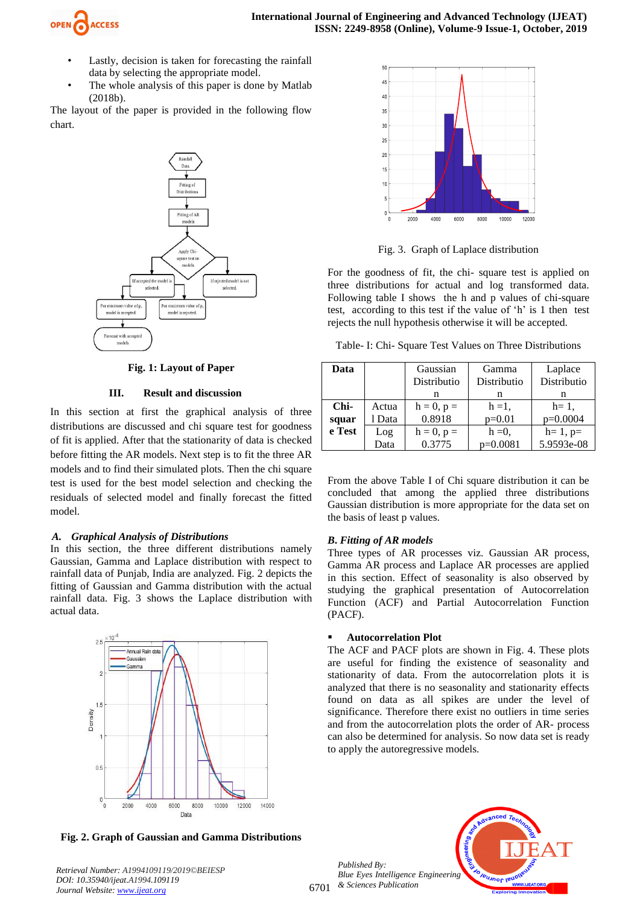

- Lastly, decision is taken for forecasting the rainfall data by selecting the appropriate model.
- The whole analysis of this paper is done by Matlab (2018b).

The layout of the paper is provided in the following flow chart.



**Fig. 1: Layout of Paper**

#### **III. Result and discussion**

In this section at first the graphical analysis of three distributions are discussed and chi square test for goodness of fit is applied. After that the stationarity of data is checked before fitting the AR models. Next step is to fit the three AR models and to find their simulated plots. Then the chi square test is used for the best model selection and checking the residuals of selected model and finally forecast the fitted model.

#### *A. Graphical Analysis of Distributions*

In this section, the three different distributions namely Gaussian, Gamma and Laplace distribution with respect to rainfall data of Punjab, India are analyzed. Fig. 2 depicts the fitting of Gaussian and Gamma distribution with the actual rainfall data. Fig. 3 shows the Laplace distribution with actual data.



**Fig. 2. Graph of Gaussian and Gamma Distributions** 



Fig. 3. Graph of Laplace distribution

For the goodness of fit, the chi- square test is applied on three distributions for actual and log transformed data. Following table I shows the h and p values of chi-square test, according to this test if the value of 'h' is 1 then test rejects the null hypothesis otherwise it will be accepted.

Table- I: Chi- Square Test Values on Three Distributions

| Data   |        | Gaussian<br>Distributio | Gamma<br>Distributio | Laplace<br>Distributio |
|--------|--------|-------------------------|----------------------|------------------------|
|        |        | n                       | n                    | n                      |
| $Chi-$ | Actua  | $h = 0, p =$            | $h = 1$ ,            | $h=1$ ,                |
| squar  | l Data | 0.8918                  | $p=0.01$             | $p=0.0004$             |
| e Test | Log    | $h = 0, p =$            | $h = 0$ ,            | $h=1, p=$              |
|        | Data   | 0.3775                  | $p=0.0081$           | 5.9593e-08             |

From the above Table I of Chi square distribution it can be concluded that among the applied three distributions Gaussian distribution is more appropriate for the data set on the basis of least p values.

# *B***.** *Fitting of AR models*

Three types of AR processes viz. Gaussian AR process, Gamma AR process and Laplace AR processes are applied in this section. Effect of seasonality is also observed by studying the graphical presentation of Autocorrelation Function (ACF) and Partial Autocorrelation Function (PACF).

# **Autocorrelation Plot**

The ACF and PACF plots are shown in Fig. 4. These plots are useful for finding the existence of seasonality and stationarity of data. From the autocorrelation plots it is analyzed that there is no seasonality and stationarity effects found on data as all spikes are under the level of significance. Therefore there exist no outliers in time series and from the autocorrelation plots the order of AR- process can also be determined for analysis. So now data set is ready to apply the autoregressive models.

6701 *Published By: Blue Eyes Intelligence Engineering & Sciences Publication* 

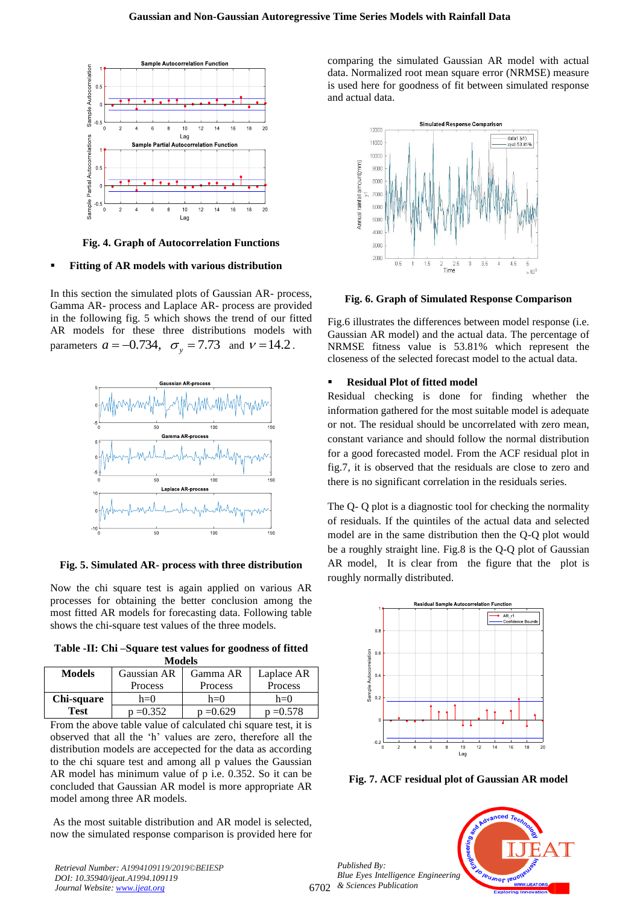

**Fig. 4. Graph of Autocorrelation Functions**

#### ▪ **Fitting of AR models with various distribution**

In this section the simulated plots of Gaussian AR- process, Gamma AR- process and Laplace AR- process are provided in the following fig. 5 which shows the trend of our fitted AR models for these three distributions models with parameters  $a = -0.734$ ,  $\sigma_y = 7.73$  and  $v = 14.2$ .



**Fig. 5. Simulated AR- process with three distribution** 

Now the chi square test is again applied on various AR processes for obtaining the better conclusion among the most fitted AR models for forecasting data. Following table shows the chi-square test values of the three models.

**Table -II: Chi –Square test values for goodness of fitted Models**

| <b>Models</b> | Gaussian AR | Gamma AR    | Laplace AR  |  |  |
|---------------|-------------|-------------|-------------|--|--|
|               | Process     | Process     | Process     |  |  |
| Chi-square    | $h=0$       | $h=0$       | $h=0$       |  |  |
| Test          | $p = 0.352$ | $p = 0.629$ | $p = 0.578$ |  |  |

From the above table value of calculated chi square test, it is observed that all the 'h' values are zero, therefore all the distribution models are accepected for the data as according to the chi square test and among all p values the Gaussian AR model has minimum value of p i.e. 0.352. So it can be concluded that Gaussian AR model is more appropriate AR model among three AR models.

As the most suitable distribution and AR model is selected, now the simulated response comparison is provided here for

*Retrieval Number: A1994109119/2019©BEIESP DOI: 10.35940/ijeat.A1994.109119 Journal Website: [www.ijeat.org](http://www.ijeat.org/)*

comparing the simulated Gaussian AR model with actual data. Normalized root mean square error (NRMSE) measure is used here for goodness of fit between simulated response and actual data.



**Fig. 6. Graph of Simulated Response Comparison**

Fig.6 illustrates the differences between model response (i.e. Gaussian AR model) and the actual data. The percentage of NRMSE fitness value is 53.81% which represent the closeness of the selected forecast model to the actual data.

#### ▪ **Residual Plot of fitted model**

Residual checking is done for finding whether the information gathered for the most suitable model is adequate or not. The residual should be uncorrelated with zero mean, constant variance and should follow the normal distribution for a good forecasted model. From the ACF residual plot in fig.7, it is observed that the residuals are close to zero and there is no significant correlation in the residuals series.

The Q- Q plot is a diagnostic tool for checking the normality of residuals. If the quintiles of the actual data and selected model are in the same distribution then the Q-Q plot would be a roughly straight line. Fig.8 is the Q-Q plot of Gaussian AR model, It is clear from the figure that the plot is roughly normally distributed.



**Fig. 7. ACF residual plot of Gaussian AR model**

6702 *Published By: Blue Eyes Intelligence Engineering & Sciences Publication* 

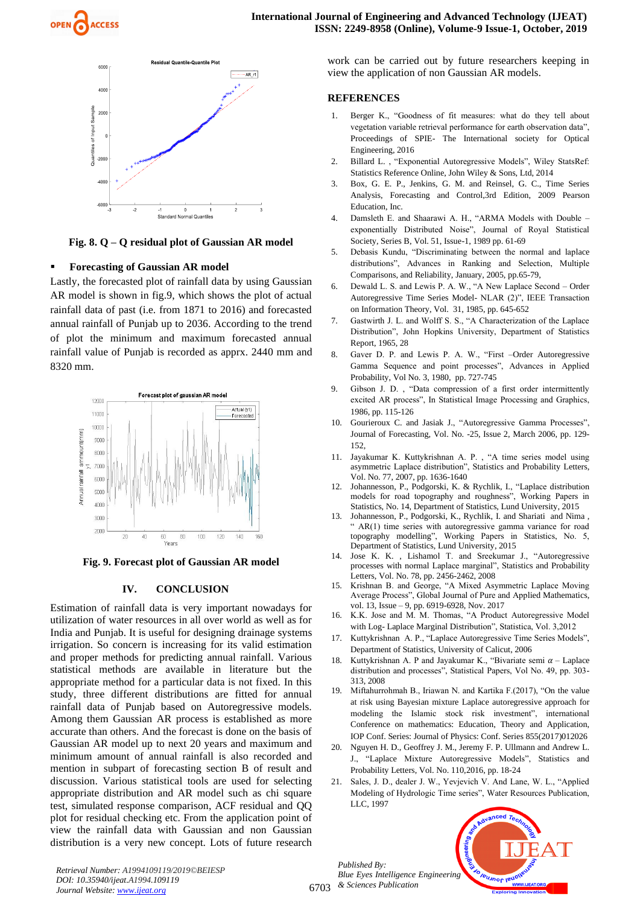



**Fig. 8. Q – Q residual plot of Gaussian AR model**

#### **Forecasting of Gaussian AR model**

Lastly, the forecasted plot of rainfall data by using Gaussian AR model is shown in fig.9, which shows the plot of actual rainfall data of past (i.e. from 1871 to 2016) and forecasted annual rainfall of Punjab up to 2036. According to the trend of plot the minimum and maximum forecasted annual rainfall value of Punjab is recorded as apprx. 2440 mm and 8320 mm.



**Fig. 9. Forecast plot of Gaussian AR model**

#### **IV. CONCLUSION**

Estimation of rainfall data is very important nowadays for utilization of water resources in all over world as well as for India and Punjab. It is useful for designing drainage systems irrigation. So concern is increasing for its valid estimation and proper methods for predicting annual rainfall. Various statistical methods are available in literature but the appropriate method for a particular data is not fixed. In this study, three different distributions are fitted for annual rainfall data of Punjab based on Autoregressive models. Among them Gaussian AR process is established as more accurate than others. And the forecast is done on the basis of Gaussian AR model up to next 20 years and maximum and minimum amount of annual rainfall is also recorded and mention in subpart of forecasting section B of result and discussion. Various statistical tools are used for selecting appropriate distribution and AR model such as chi square test, simulated response comparison, ACF residual and QQ plot for residual checking etc. From the application point of view the rainfall data with Gaussian and non Gaussian distribution is a very new concept. Lots of future research work can be carried out by future researchers keeping in view the application of non Gaussian AR models.

#### **REFERENCES**

- 1. Berger K., "Goodness of fit measures: what do they tell about vegetation variable retrieval performance for earth observation data", Proceedings of SPIE- The International society for Optical Engineering, 2016
- 2. Billard L. , "Exponential Autoregressive Models", Wiley StatsRef: Statistics Reference Online, John Wiley & Sons, Ltd, 2014
- 3. Box, G. E. P., Jenkins, G. M. and Reinsel, G. C., Time Series Analysis, Forecasting and Control,3rd Edition, 2009 Pearson Education, Inc.
- 4. Damsleth E. and Shaarawi A. H., "ARMA Models with Double exponentially Distributed Noise", Journal of Royal Statistical Society, Series B, Vol. 51, Issue-1, 1989 pp. 61-69
- 5. Debasis Kundu, "Discriminating between the normal and laplace distributions", Advances in Ranking and Selection, Multiple Comparisons, and Reliability, January, 2005, pp.65-79,
- 6. Dewald L. S. and Lewis P. A. W., "A New Laplace Second Order Autoregressive Time Series Model- NLAR (2)", IEEE Transaction on Information Theory, Vol. 31, 1985, pp. 645-652
- 7. Gastwirth J. L. and Wolff S. S., "A Characterization of the Laplace Distribution", John Hopkins University, Department of Statistics Report, 1965, 28
- 8. Gaver D. P. and Lewis P. A. W., "First –Order Autoregressive Gamma Sequence and point processes", Advances in Applied Probability, Vol No. 3, 1980, pp. 727-745
- 9. Gibson J. D. , "Data compression of a first order intermittently excited AR process", In Statistical Image Processing and Graphics, 1986, pp. 115-126
- 10. Gourieroux C. and Jasiak J., "Autoregressive Gamma Processes", Journal of Forecasting, Vol. No. -25, Issue 2, March 2006, pp. 129- 152,
- 11. Jayakumar K. Kuttykrishnan A. P. , "A time series model using asymmetric Laplace distribution", Statistics and Probability Letters, Vol. No. 77, 2007, pp. 1636-1640
- 12. Johannesson, P., Podgorski, K. & Rychlik, I., "Laplace distribution models for road topography and roughness", Working Papers in Statistics, No. 14, Department of Statistics, Lund University, 2015
- 13. Johannesson, P., Podgorski, K., Rychlik, I. and Shariati and Nima , " AR(1) time series with autoregressive gamma variance for road topography modelling", Working Papers in Statistics, No. 5, Department of Statistics, Lund University, 2015
- 14. Jose K. K. , Lishamol T. and Sreekumar J., "Autoregressive processes with normal Laplace marginal", Statistics and Probability Letters, Vol. No. 78, pp. 2456-2462, 2008
- 15. Krishnan B. and George, "A Mixed Asymmetric Laplace Moving Average Process", Global Journal of Pure and Applied Mathematics, vol. 13, Issue - 9, pp. 6919-6928, Nov. 2017
- 16. K.K. Jose and M. M. Thomas, "A Product Autoregressive Model with Log- Laplace Marginal Distribution", Statistica, Vol. 3,2012
- 17. Kuttykrishnan A. P., "Laplace Autoregressive Time Series Models", Department of Statistics, University of Calicut, 2006
- Kuttykrishnan A. P and Jayakumar K., "Bivariate semi  $\alpha$  Laplace distribution and processes", Statistical Papers, Vol No. 49, pp. 303- 313, 2008
- 19. Miftahurrohmah B., Iriawan N. and Kartika F.(2017), "On the value at risk using Bayesian mixture Laplace autoregressive approach for modeling the Islamic stock risk investment", international Conference on mathematics: Education, Theory and Application, IOP Conf. Series: Journal of Physics: Conf. Series 855(2017)012026
- 20. Nguyen H. D., Geoffrey J. M., Jeremy F. P. Ullmann and Andrew L. J., "Laplace Mixture Autoregressive Models", Statistics and Probability Letters, Vol. No. 110,2016, pp. 18-24
- 21. Sales, J. D., dealer J. W., Yevjevich V. And Lane, W. L., "Applied Modeling of Hydrologic Time series", Water Resources Publication, LLC, 1997